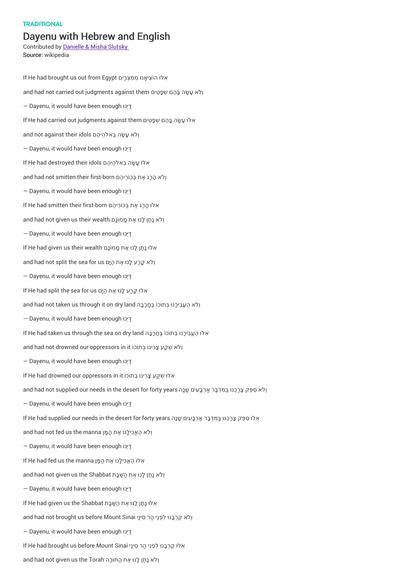## **TRADITIONAL**

## Dayenu with Hebrew and English

Contributed by Danielle & Misha Slutsky Source: wikipedia

If He had brought us out from Egypt יִםָרְמצִּ מִ ִאלּו ה ֹוצִי ָאנו ּ and had not carried out judgments against them ולא עשה בהם שפטים — Dayenu, it would have been enoughּ נוֵּיּדַ וּלוּ עַשֶּׂה בַּהֶם שְׁפַטִים If He had carried out judgments against them and not against their idols וְלֹא עֲשַׂה בַּאלהִיהֶם — Dayenu, it would have been enoughּ נוֵּיּדַ וּלּוּ עָשָׂה בֵּאלֹהֵיהֶם If He had destroyed their idols and had not smitten their first-born וְלֹא הָרַג אֶת בְּכוֹרֵיהֶם — Dayenu, it would have been enoughּ נוֵּיּדַ וּלּוּ הַרַג אֶת בְּכוֹרֵיהֵם If He had smitten their first-born and had not given us their wealth וְלֹא נַתַן לָנוּ אֶת מָמוֹנָם — Dayenu, it would have been enoughּ נוֵּיּדַ וּלוּ נַתַּן לָנוּ אֶת מָמוֹנָם If He had given us their wealth and had not split the sea for us וְלֹא קָרַע לָנוּ אֶת הַיָּם — Dayenu, it would have been enoughּ נוֵּיּדַ וֹ He had split the sea for us הַיָּם וֹ and had not taken us through it on dry land וְלֹא הֶעֱבִירָנוּ בְּתוֹכוֹ בֶּחָרָבָה — Dayenu, it would have been enoughּ נוֵּיּדַ וּ He had taken us through the sea on dry land יָאלּוּ הֶעֱבִירָנוּ בְּתוֹכוֹ בֶּחָרָבָה If He had taken us through the and had not drowned our oppressors in it ולא שקע צרינו בתוכו זו — Dayenu, it would have been enoughּ נוֵּיּדַ וּלוּ שְׁקַע צַרֵינוּ בְּתוֹכוֹ If He had drowned our oppressors in it ּ וְ ֹלא ִס ּפֵק צָרַכֵּנו ּבַּ ִּמ ְדבָּר ַארְבָּ ִעים ָׁשנָה years forty for desert the in needs our supplied not had and — Dayenu, it would have been enoughּ נוֵּיּדַ וּלוּ ספּק צַרכּנוּ בַּמִּדְבֵּר אַרְבֵּעים שֲׁנֵה If He had supplied our needs in the desert for forty years and had not fed us the manna וְלֹא הֶאֱכִילָנוּ אֶת הַמָּן — Dayenu, it would have been enoughּ נוֵּיּדַ וֹ He had fed us the manna אָלוּ הֶאֱכִילָנוּ אֶת הַמָּן and had not given us the Shabbat וְלֹא נַתַּן לָנוּ אֶת הַשַּׁבָּת — Dayenu, it would have been enoughּ נוֵּיּדַ וּלוּ נַתַן לָנוּ אֶת הַשַּׁבָּת If He had given us the Shabbat and had not brought us before Mount Sinai וְלֹא קֵרְבָנוּ לִפְנֵי הַר סִינַי — Dayenu, it would have been enoughּ נוֵּיּדַ וּלוּ קֵרְבָנוּ לִפְנֵי הַר סִינַי Sinai אֵלּוּ קֵרְבָנוּ לִפְנֵי הַר סִינַי and had not given us the Torah וְלֹא נָתַן לָנוּ אֶת הַתּוֹכָה